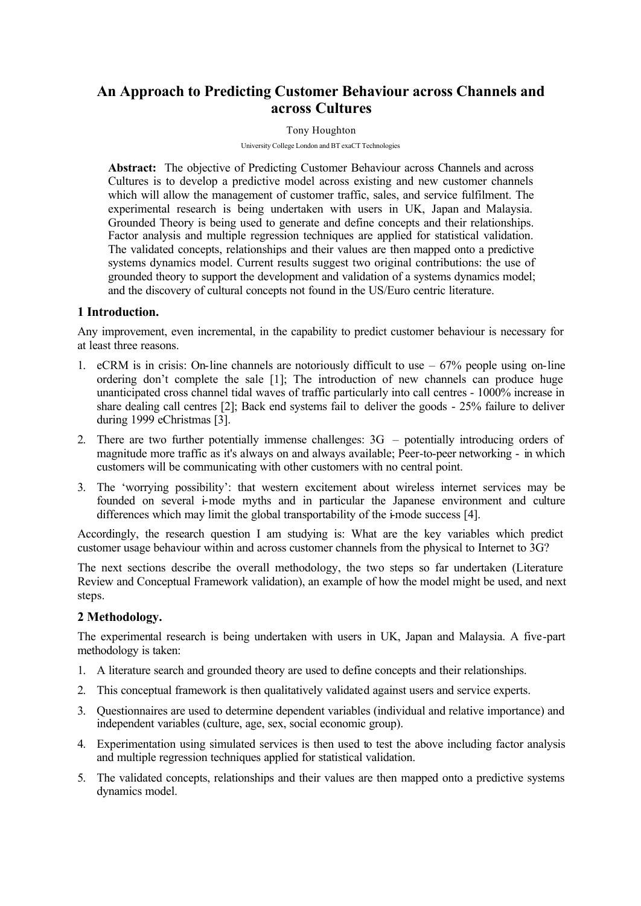# **An Approach to Predicting Customer Behaviour across Channels and across Cultures**

#### Tony Houghton

University College London and BT exaCT Technologies

**Abstract:** The objective of Predicting Customer Behaviour across Channels and across Cultures is to develop a predictive model across existing and new customer channels which will allow the management of customer traffic, sales, and service fulfilment. The experimental research is being undertaken with users in UK, Japan and Malaysia. Grounded Theory is being used to generate and define concepts and their relationships. Factor analysis and multiple regression techniques are applied for statistical validation. The validated concepts, relationships and their values are then mapped onto a predictive systems dynamics model. Current results suggest two original contributions: the use of grounded theory to support the development and validation of a systems dynamics model; and the discovery of cultural concepts not found in the US/Euro centric literature.

#### **1 Introduction.**

Any improvement, even incremental, in the capability to predict customer behaviour is necessary for at least three reasons.

- 1. eCRM is in crisis: On-line channels are notoriously difficult to use  $-67%$  people using on-line ordering don't complete the sale [1]; The introduction of new channels can produce huge unanticipated cross channel tidal waves of traffic particularly into call centres - 1000% increase in share dealing call centres [2]; Back end systems fail to deliver the goods - 25% failure to deliver during 1999 eChristmas [3].
- 2. There are two further potentially immense challenges: 3G potentially introducing orders of magnitude more traffic as it's always on and always available; Peer-to-peer networking - in which customers will be communicating with other customers with no central point.
- 3. The 'worrying possibility': that western excitement about wireless internet services may be founded on several i-mode myths and in particular the Japanese environment and culture differences which may limit the global transportability of the i-mode success [4].

Accordingly, the research question I am studying is: What are the key variables which predict customer usage behaviour within and across customer channels from the physical to Internet to 3G?

The next sections describe the overall methodology, the two steps so far undertaken (Literature Review and Conceptual Framework validation), an example of how the model might be used, and next steps.

#### **2 Methodology.**

The experimental research is being undertaken with users in UK, Japan and Malaysia. A five-part methodology is taken:

- 1. A literature search and grounded theory are used to define concepts and their relationships.
- 2. This conceptual framework is then qualitatively validated against users and service experts.
- 3. Questionnaires are used to determine dependent variables (individual and relative importance) and independent variables (culture, age, sex, social economic group).
- 4. Experimentation using simulated services is then used to test the above including factor analysis and multiple regression techniques applied for statistical validation.
- 5. The validated concepts, relationships and their values are then mapped onto a predictive systems dynamics model.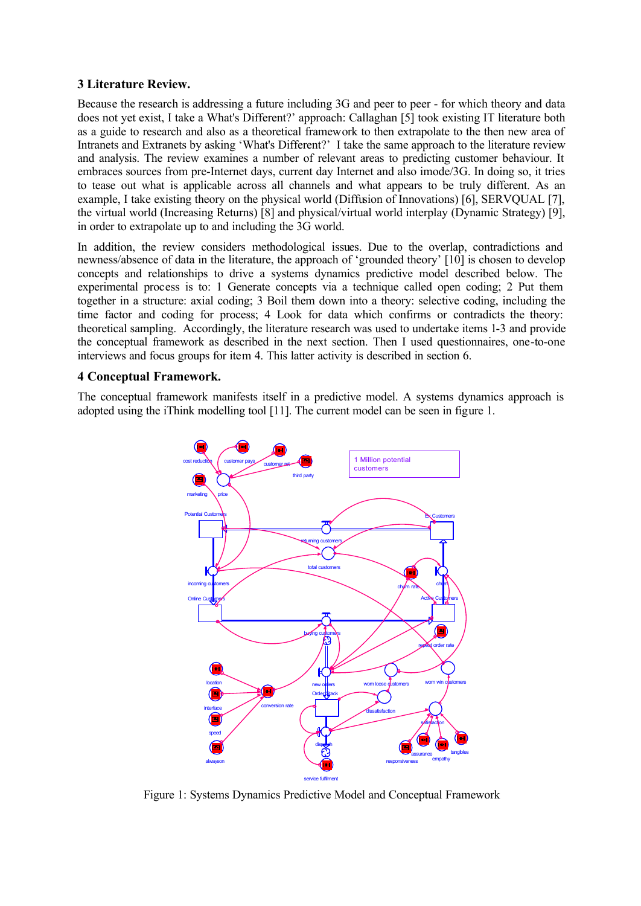## **3 Literature Review.**

Because the research is addressing a future including 3G and peer to peer - for which theory and data does not yet exist, I take a What's Different?' approach: Callaghan [5] took existing IT literature both as a guide to research and also as a theoretical framework to then extrapolate to the then new area of Intranets and Extranets by asking 'What's Different?' I take the same approach to the literature review and analysis. The review examines a number of relevant areas to predicting customer behaviour. It embraces sources from pre-Internet days, current day Internet and also imode/3G. In doing so, it tries to tease out what is applicable across all channels and what appears to be truly different. As an example, I take existing theory on the physical world (Diffusion of Innovations) [6], SERVQUAL [7], the virtual world (Increasing Returns) [8] and physical/virtual world interplay (Dynamic Strategy) [9], in order to extrapolate up to and including the 3G world.

In addition, the review considers methodological issues. Due to the overlap, contradictions and newness/absence of data in the literature, the approach of 'grounded theory' [10] is chosen to develop concepts and relationships to drive a systems dynamics predictive model described below. The experimental process is to: 1 Generate concepts via a technique called open coding; 2 Put them together in a structure: axial coding; 3 Boil them down into a theory: selective coding, including the time factor and coding for process; 4 Look for data which confirms or contradicts the theory: theoretical sampling. Accordingly, the literature research was used to undertake items 1-3 and provide the conceptual framework as described in the next section. Then I used questionnaires, one-to-one interviews and focus groups for item 4. This latter activity is described in section 6.

# **4 Conceptual Framework.**

The conceptual framework manifests itself in a predictive model. A systems dynamics approach is adopted using the iThink modelling tool [11]. The current model can be seen in figure 1.



Figure 1: Systems Dynamics Predictive Model and Conceptual Framework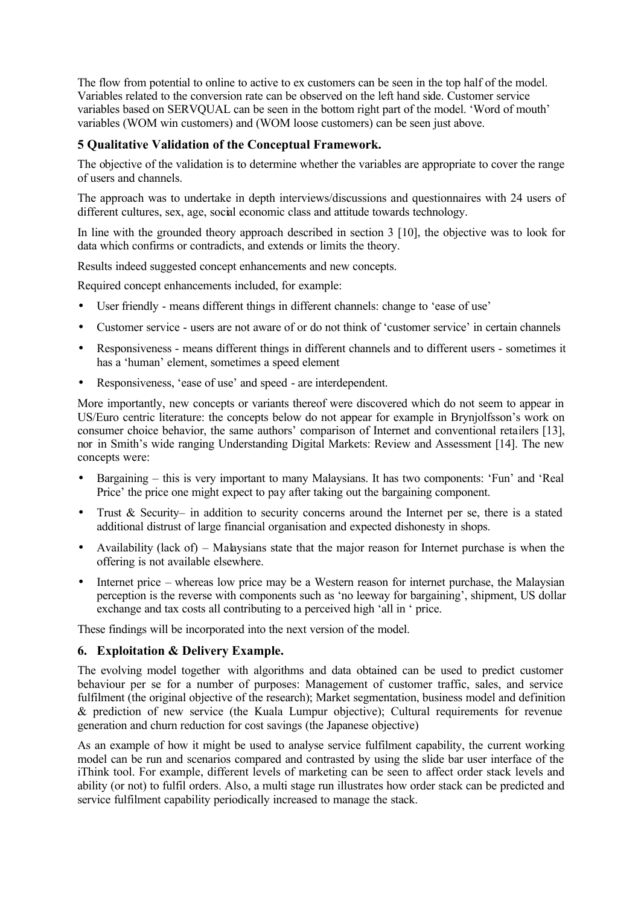The flow from potential to online to active to ex customers can be seen in the top half of the model. Variables related to the conversion rate can be observed on the left hand side. Customer service variables based on SERVQUAL can be seen in the bottom right part of the model. 'Word of mouth' variables (WOM win customers) and (WOM loose customers) can be seen just above.

# **5 Qualitative Validation of the Conceptual Framework.**

The objective of the validation is to determine whether the variables are appropriate to cover the range of users and channels.

The approach was to undertake in depth interviews/discussions and questionnaires with 24 users of different cultures, sex, age, social economic class and attitude towards technology.

In line with the grounded theory approach described in section 3 [10], the objective was to look for data which confirms or contradicts, and extends or limits the theory.

Results indeed suggested concept enhancements and new concepts.

Required concept enhancements included, for example:

- User friendly means different things in different channels: change to 'ease of use'
- Customer service users are not aware of or do not think of 'customer service' in certain channels
- Responsiveness means different things in different channels and to different users sometimes it has a 'human' element, sometimes a speed element
- Responsiveness, 'ease of use' and speed are interdependent.

More importantly, new concepts or variants thereof were discovered which do not seem to appear in US/Euro centric literature: the concepts below do not appear for example in Brynjolfsson's work on consumer choice behavior, the same authors' comparison of Internet and conventional retailers [13], nor in Smith's wide ranging Understanding Digital Markets: Review and Assessment [14]. The new concepts were:

- Bargaining this is very important to many Malaysians. It has two components: 'Fun' and 'Real Price' the price one might expect to pay after taking out the bargaining component.
- Trust & Security– in addition to security concerns around the Internet per se, there is a stated additional distrust of large financial organisation and expected dishonesty in shops.
- Availability (lack of) Malaysians state that the major reason for Internet purchase is when the offering is not available elsewhere.
- Internet price whereas low price may be a Western reason for internet purchase, the Malaysian perception is the reverse with components such as 'no leeway for bargaining', shipment, US dollar exchange and tax costs all contributing to a perceived high 'all in ' price.

These findings will be incorporated into the next version of the model.

# **6. Exploitation & Delivery Example.**

The evolving model together with algorithms and data obtained can be used to predict customer behaviour per se for a number of purposes: Management of customer traffic, sales, and service fulfilment (the original objective of the research); Market segmentation, business model and definition & prediction of new service (the Kuala Lumpur objective); Cultural requirements for revenue generation and churn reduction for cost savings (the Japanese objective)

As an example of how it might be used to analyse service fulfilment capability, the current working model can be run and scenarios compared and contrasted by using the slide bar user interface of the iThink tool. For example, different levels of marketing can be seen to affect order stack levels and ability (or not) to fulfil orders. Also, a multi stage run illustrates how order stack can be predicted and service fulfilment capability periodically increased to manage the stack.